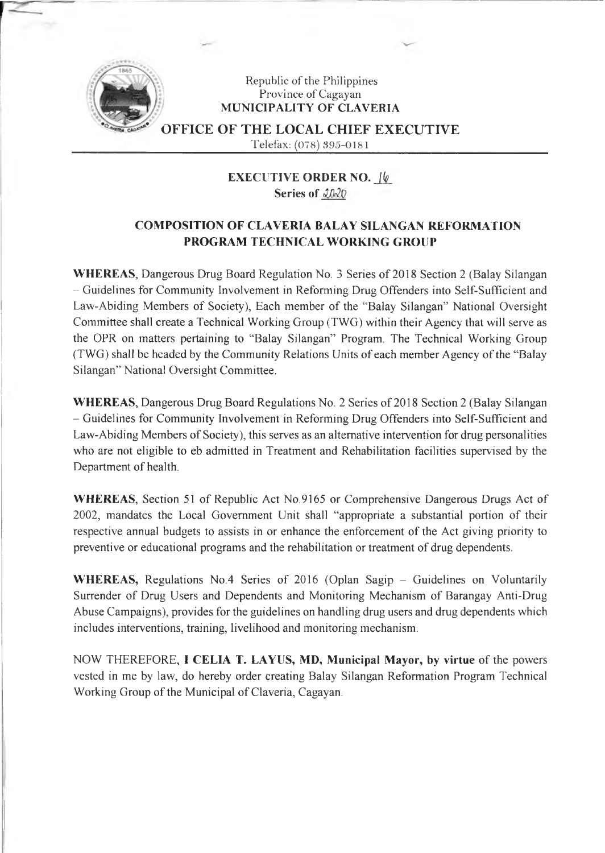

## Republic of the Philippines Province of Cagayan **MUNICIPALITY OF CLAVERIA**

office of the local chief executive

Telefax: (078) 395-0181

**EXECUTIVE ORDER NO.** *J(p\_* **Series of**

## **COMPOSITION OF CLAVERIA BALAY SILANGAN REFORMATION PROGRAM TECHNICAL WORKING GROUP**

**WHEREAS,** Dangerous Drug Board Regulation No. 3 Series of 2018 Section 2 (Balay Silangan - Guidelines for Community Involvement in Reforming Drug Offenders into Self-Sufficient and Law-Abiding Members of Society), Each member of the "Balay Silangan" National Oversight Committee shall create a Technical Working Group (TWG) within their Agency that will serve as the OPR on matters pertaining to "Balay Silangan" Program. The Technical Working Group (TWG) shall be headed by the Community Relations Units of each member Agency ofthe "Balay Silangan" National Oversight Committee.

**WHEREAS,** Dangerous Drug Board Regulations No. 2 Series of 2018 Section 2 (Balay Silangan - Guidelines for Community Involvement in Reforming Drug Offenders into Self-Sufficient and Law-Abiding Members of Society), this serves as an alternative intervention for drug personalities who are not eligible to eb admitted in Treatment and Rehabilitation facilities supervised by the Department of health.

**WHEREAS,** Section 51 of Republic Act No.9165 or Comprehensive Dangerous Drugs Act of 2002, mandates the Local Government Unit shall "appropriate a substantial portion of their respective annual budgets to assists in or enhance the enforcement of the Act giving priority to preventive or educational programs and the rehabilitation or treatment of drug dependents.

WHEREAS, Regulations No.4 Series of 2016 (Oplan Sagip – Guidelines on Voluntarily Surrender of Drug Users and Dependents and Monitoring Mechanism of Barangay Anti-Drug Abuse Campaigns), provides for the guidelines on handling drug users and drug dependents which includes interventions, training, livelihood and monitoring mechanism.

NOW THEREFORE, **<sup>I</sup> CELIA T. LAYUS, MD, Municipal Mayor, by virtue** of the powers vested in me by law, do hereby order creating Balay Silangan Reformation Program Technical Working Group of the Municipal of Claveria, Cagayan.